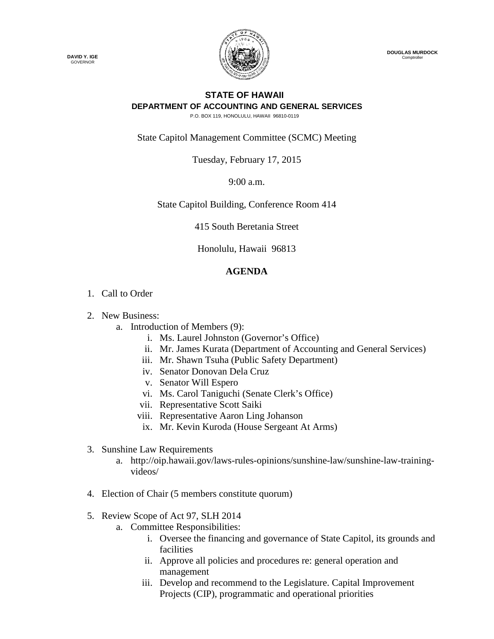

 **DOUGLAS MURDOCK Comptroller** 

## **STATE OF HAWAII DEPARTMENT OF ACCOUNTING AND GENERAL SERVICES**

P.O. BOX 119, HONOLULU, HAWAII 96810-0119

State Capitol Management Committee (SCMC) Meeting

Tuesday, February 17, 2015

9:00 a.m.

State Capitol Building, Conference Room 414

415 South Beretania Street

Honolulu, Hawaii 96813

## **AGENDA**

- 1. Call to Order
- 2. New Business:
	- a. Introduction of Members (9):
		- i. Ms. Laurel Johnston (Governor's Office)
		- ii. Mr. James Kurata (Department of Accounting and General Services)
		- iii. Mr. Shawn Tsuha (Public Safety Department)
		- iv. Senator Donovan Dela Cruz
		- v. Senator Will Espero
		- vi. Ms. Carol Taniguchi (Senate Clerk's Office)
		- vii. Representative Scott Saiki
		- viii. Representative Aaron Ling Johanson
		- ix. Mr. Kevin Kuroda (House Sergeant At Arms)
- 3. Sunshine Law Requirements
	- a. http://oip.hawaii.gov/laws-rules-opinions/sunshine-law/sunshine-law-trainingvideos/
- 4. Election of Chair (5 members constitute quorum)
- 5. Review Scope of Act 97, SLH 2014
	- a. Committee Responsibilities:
		- i. Oversee the financing and governance of State Capitol, its grounds and facilities
		- ii. Approve all policies and procedures re: general operation and management
		- iii. Develop and recommend to the Legislature. Capital Improvement Projects (CIP), programmatic and operational priorities

**DAVID Y. IGE** GOVERNOR